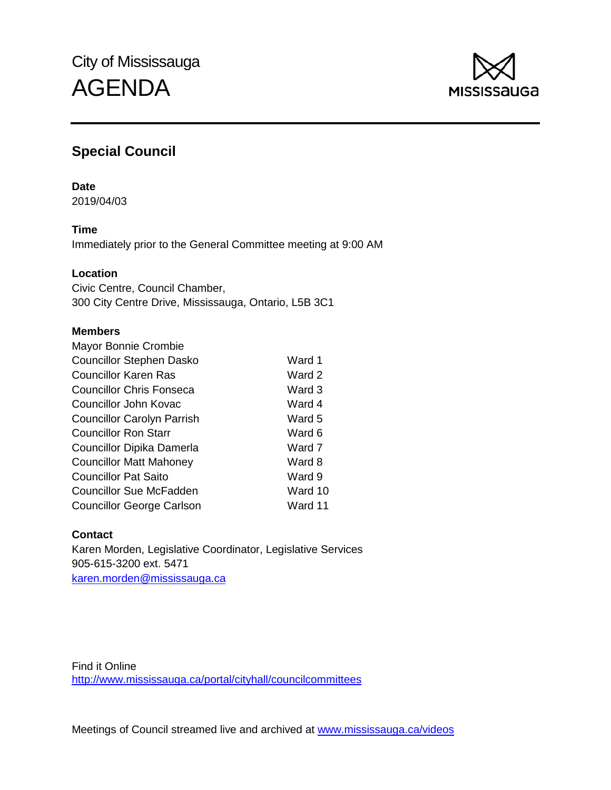

# **Special Council**

## **Date**

2019/04/03

# **Time**

Immediately prior to the General Committee meeting at 9:00 AM

# **Location**

Civic Centre, Council Chamber, 300 City Centre Drive, Mississauga, Ontario, L5B 3C1

# **Members**

| Mayor Bonnie Crombie              |         |
|-----------------------------------|---------|
| <b>Councillor Stephen Dasko</b>   | Ward 1  |
| <b>Councillor Karen Ras</b>       | Ward 2  |
| <b>Councillor Chris Fonseca</b>   | Ward 3  |
| Councillor John Kovac             | Ward 4  |
| <b>Councillor Carolyn Parrish</b> | Ward 5  |
| <b>Councillor Ron Starr</b>       | Ward 6  |
| Councillor Dipika Damerla         | Ward 7  |
| <b>Councillor Matt Mahoney</b>    | Ward 8  |
| <b>Councillor Pat Saito</b>       | Ward 9  |
| Councillor Sue McFadden           | Ward 10 |
| <b>Councillor George Carlson</b>  | Ward 11 |

# **Contact**

Karen Morden, Legislative Coordinator, Legislative Services 905-615-3200 ext. 5471 [karen.morden@mississauga.ca](mailto:karen.morden@mississauga.ca)

Find it Online <http://www.mississauga.ca/portal/cityhall/councilcommittees>